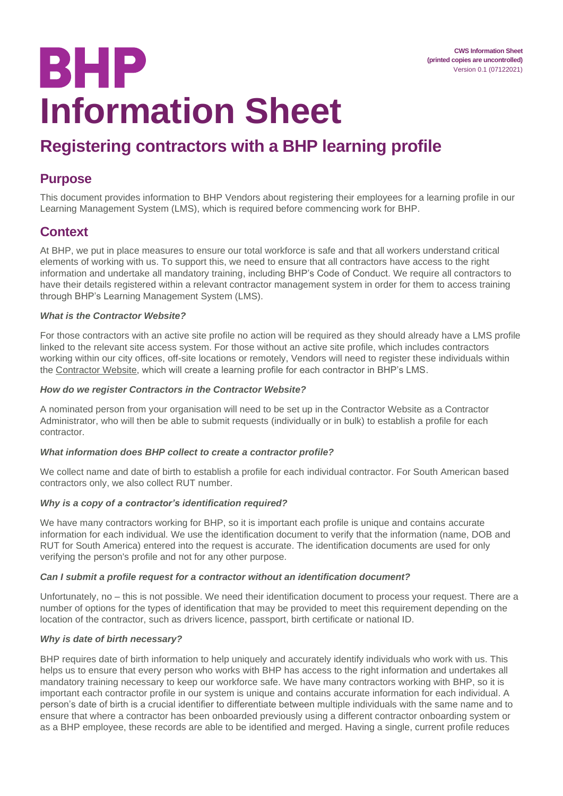# **BHP Information Sheet**

# **Registering contractors with a BHP learning profile**

### **Purpose**

This document provides information to BHP Vendors about registering their employees for a learning profile in our Learning Management System (LMS), which is required before commencing work for BHP.

# **Context**

At BHP, we put in place measures to ensure our total workforce is safe and that all workers understand critical elements of working with us. To support this, we need to ensure that all contractors have access to the right information and undertake all mandatory training, including BHP's Code of Conduct. We require all contractors to have their details registered within a relevant contractor management system in order for them to access training through BHP's Learning Management System (LMS).

#### *What is the Contractor Website?*

For those contractors with an active site profile no action will be required as they should already have a LMS profile linked to the relevant site access system. For those without an active site profile, which includes contractors working within our city offices, off-site locations or remotely, Vendors will need to register these individuals within the [Contractor Website,](https://contractor.bhp.com/#/) which will create a learning profile for each contractor in BHP's LMS.

#### *How do we register Contractors in the Contractor Website?*

A nominated person from your organisation will need to be set up in the Contractor Website as a Contractor Administrator, who will then be able to submit requests (individually or in bulk) to establish a profile for each contractor.

#### *What information does BHP collect to create a contractor profile?*

We collect name and date of birth to establish a profile for each individual contractor. For South American based contractors only, we also collect RUT number.

#### *Why is a copy of a contractor's identification required?*

We have many contractors working for BHP, so it is important each profile is unique and contains accurate information for each individual. We use the identification document to verify that the information (name, DOB and RUT for South America) entered into the request is accurate. The identification documents are used for only verifying the person's profile and not for any other purpose.

#### *Can I submit a profile request for a contractor without an identification document?*

Unfortunately, no – this is not possible. We need their identification document to process your request. There are a number of options for the types of identification that may be provided to meet this requirement depending on the location of the contractor, such as drivers licence, passport, birth certificate or national ID.

#### *Why is date of birth necessary?*

BHP requires date of birth information to help uniquely and accurately identify individuals who work with us. This helps us to ensure that every person who works with BHP has access to the right information and undertakes all mandatory training necessary to keep our workforce safe. We have many contractors working with BHP, so it is important each contractor profile in our system is unique and contains accurate information for each individual. A person's date of birth is a crucial identifier to differentiate between multiple individuals with the same name and to ensure that where a contractor has been onboarded previously using a different contractor onboarding system or as a BHP employee, these records are able to be identified and merged. Having a single, current profile reduces